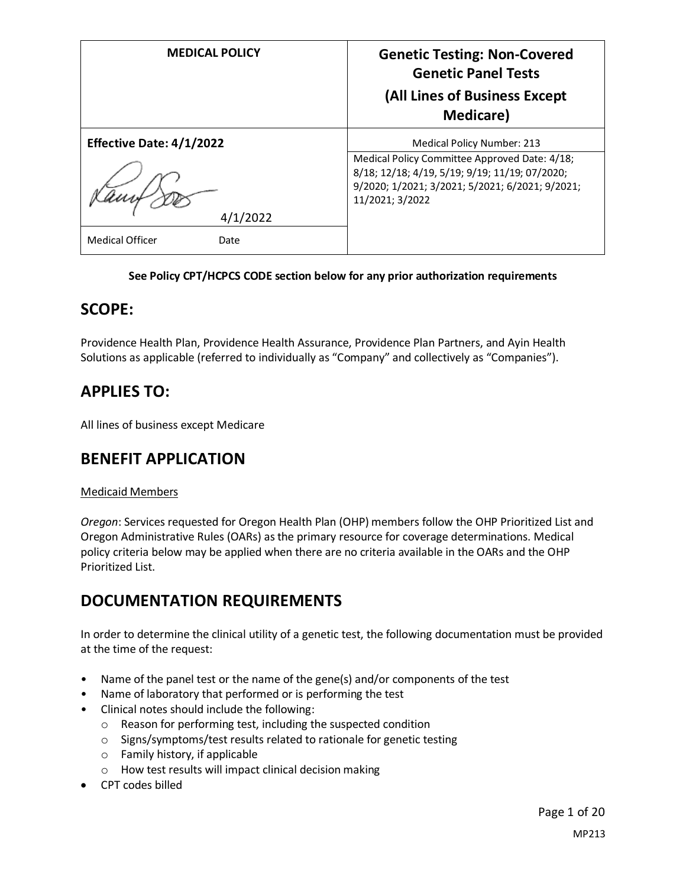| <b>MEDICAL POLICY</b>                                                         | <b>Genetic Testing: Non-Covered</b><br><b>Genetic Panel Tests</b><br>(All Lines of Business Except<br><b>Medicare</b> )                                                                                    |
|-------------------------------------------------------------------------------|------------------------------------------------------------------------------------------------------------------------------------------------------------------------------------------------------------|
| <b>Effective Date: 4/1/2022</b><br>4/1/2022<br><b>Medical Officer</b><br>Date | <b>Medical Policy Number: 213</b><br>Medical Policy Committee Approved Date: 4/18;<br>8/18; 12/18; 4/19, 5/19; 9/19; 11/19; 07/2020;<br>9/2020; 1/2021; 3/2021; 5/2021; 6/2021; 9/2021;<br>11/2021; 3/2022 |

#### **See Policy CPT/HCPCS CODE section below for any prior authorization requirements**

### **SCOPE:**

Providence Health Plan, Providence Health Assurance, Providence Plan Partners, and Ayin Health Solutions as applicable (referred to individually as "Company" and collectively as "Companies").

## **APPLIES TO:**

All lines of business except Medicare

### **BENEFIT APPLICATION**

#### Medicaid Members

*Oregon*: Services requested for Oregon Health Plan (OHP) members follow the OHP Prioritized List and Oregon Administrative Rules (OARs) as the primary resource for coverage determinations. Medical policy criteria below may be applied when there are no criteria available in the OARs and the OHP Prioritized List.

### **DOCUMENTATION REQUIREMENTS**

In order to determine the clinical utility of a genetic test, the following documentation must be provided at the time of the request:

- Name of the panel test or the name of the gene(s) and/or components of the test
- Name of laboratory that performed or is performing the test
- Clinical notes should include the following:
	- o Reason for performing test, including the suspected condition
	- o Signs/symptoms/test results related to rationale for genetic testing
	- o Family history, if applicable
	- o How test results will impact clinical decision making
- CPT codes billed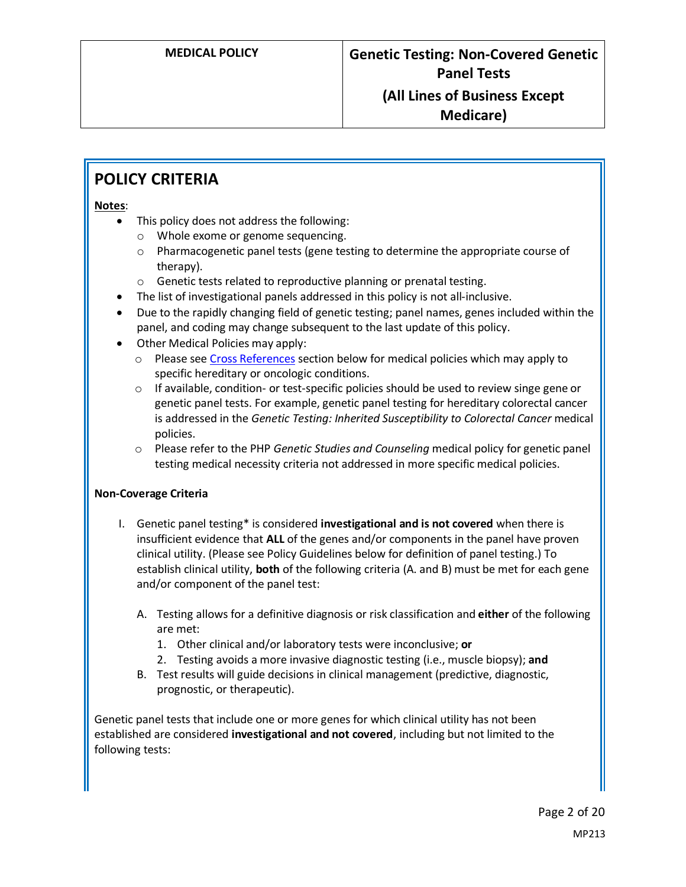## **POLICY CRITERIA**

#### **Notes**:

- This policy does not address the following:
	- o Whole exome or genome sequencing.
	- o Pharmacogenetic panel tests (gene testing to determine the appropriate course of therapy).
	- o Genetic tests related to reproductive planning or prenatal testing.
- The list of investigational panels addressed in this policy is not all-inclusive.
- Due to the rapidly changing field of genetic testing; panel names, genes included within the panel, and coding may change subsequent to the last update of this policy.
- Other Medical Policies may apply:
	- $\circ$  Please see [Cross References](#page-19-0) section below for medical policies which may apply to specific hereditary or oncologic conditions.
	- $\circ$  If available, condition- or test-specific policies should be used to review singe gene or genetic panel tests. For example, genetic panel testing for hereditary colorectal cancer is addressed in the *Genetic Testing: Inherited Susceptibility to Colorectal Cancer* medical policies.
	- o Please refer to the PHP *Genetic Studies and Counseling* medical policy for genetic panel testing medical necessity criteria not addressed in more specific medical policies.

#### **Non-Coverage Criteria**

- I. Genetic panel testing\* is considered **investigational and is not covered** when there is insufficient evidence that **ALL** of the genes and/or components in the panel have proven clinical utility. (Please see Policy Guidelines below for definition of panel testing.) To establish clinical utility, **both** of the following criteria (A. and B) must be met for each gene and/or component of the panel test:
	- A. Testing allows for a definitive diagnosis or risk classification and **either** of the following are met:
		- 1. Other clinical and/or laboratory tests were inconclusive; **or**
		- 2. Testing avoids a more invasive diagnostic testing (i.e., muscle biopsy); **and**
	- B. Test results will guide decisions in clinical management (predictive, diagnostic, prognostic, or therapeutic).

Genetic panel tests that include one or more genes for which clinical utility has not been established are considered **investigational and not covered**, including but not limited to the following tests: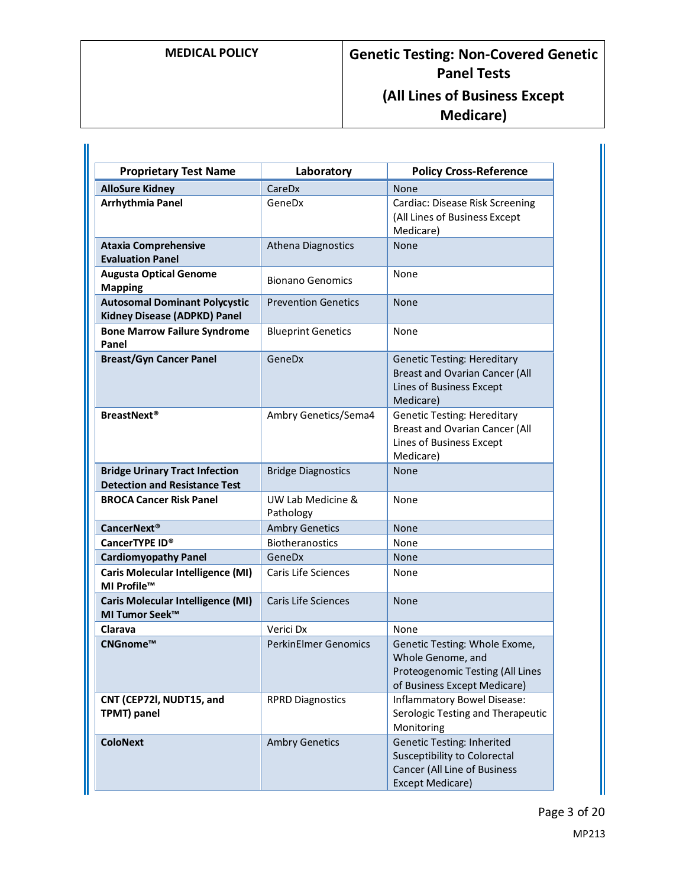| <b>Proprietary Test Name</b>                                                  | Laboratory                     | <b>Policy Cross-Reference</b>                                                                                                       |
|-------------------------------------------------------------------------------|--------------------------------|-------------------------------------------------------------------------------------------------------------------------------------|
| <b>AlloSure Kidney</b>                                                        | CareDx                         | None                                                                                                                                |
| Arrhythmia Panel                                                              | GeneDx                         | Cardiac: Disease Risk Screening<br>(All Lines of Business Except<br>Medicare)                                                       |
| <b>Ataxia Comprehensive</b><br><b>Evaluation Panel</b>                        | <b>Athena Diagnostics</b>      | None                                                                                                                                |
| <b>Augusta Optical Genome</b><br><b>Mapping</b>                               | <b>Bionano Genomics</b>        | None                                                                                                                                |
| <b>Autosomal Dominant Polycystic</b><br><b>Kidney Disease (ADPKD) Panel</b>   | <b>Prevention Genetics</b>     | None                                                                                                                                |
| <b>Bone Marrow Failure Syndrome</b><br>Panel                                  | <b>Blueprint Genetics</b>      | None                                                                                                                                |
| <b>Breast/Gyn Cancer Panel</b>                                                | GeneDx                         | <b>Genetic Testing: Hereditary</b><br><b>Breast and Ovarian Cancer (All</b><br>Lines of Business Except<br>Medicare)                |
| <b>BreastNext<sup>®</sup></b>                                                 | Ambry Genetics/Sema4           | <b>Genetic Testing: Hereditary</b><br><b>Breast and Ovarian Cancer (All</b><br>Lines of Business Except<br>Medicare)                |
| <b>Bridge Urinary Tract Infection</b><br><b>Detection and Resistance Test</b> | <b>Bridge Diagnostics</b>      | None                                                                                                                                |
| <b>BROCA Cancer Risk Panel</b>                                                | UW Lab Medicine &<br>Pathology | None                                                                                                                                |
| <b>CancerNext<sup>®</sup></b>                                                 | <b>Ambry Genetics</b>          | None                                                                                                                                |
| CancerTYPE ID®                                                                | <b>Biotheranostics</b>         | None                                                                                                                                |
| <b>Cardiomyopathy Panel</b>                                                   | GeneDx                         | None                                                                                                                                |
| <b>Caris Molecular Intelligence (MI)</b><br>MI Profile™                       | <b>Caris Life Sciences</b>     | None                                                                                                                                |
| <b>Caris Molecular Intelligence (MI)</b><br>MI Tumor Seek™                    | <b>Caris Life Sciences</b>     | None                                                                                                                                |
| Clarava                                                                       | Verici Dx                      | None                                                                                                                                |
| CNGnome™                                                                      | <b>PerkinElmer Genomics</b>    | Genetic Testing: Whole Exome,<br>Whole Genome, and<br>Proteogenomic Testing (All Lines<br>of Business Except Medicare)              |
| CNT (CEP72I, NUDT15, and<br>TPMT) panel                                       | <b>RPRD Diagnostics</b>        | Inflammatory Bowel Disease:<br>Serologic Testing and Therapeutic<br>Monitoring                                                      |
| <b>ColoNext</b>                                                               | <b>Ambry Genetics</b>          | <b>Genetic Testing: Inherited</b><br><b>Susceptibility to Colorectal</b><br>Cancer (All Line of Business<br><b>Except Medicare)</b> |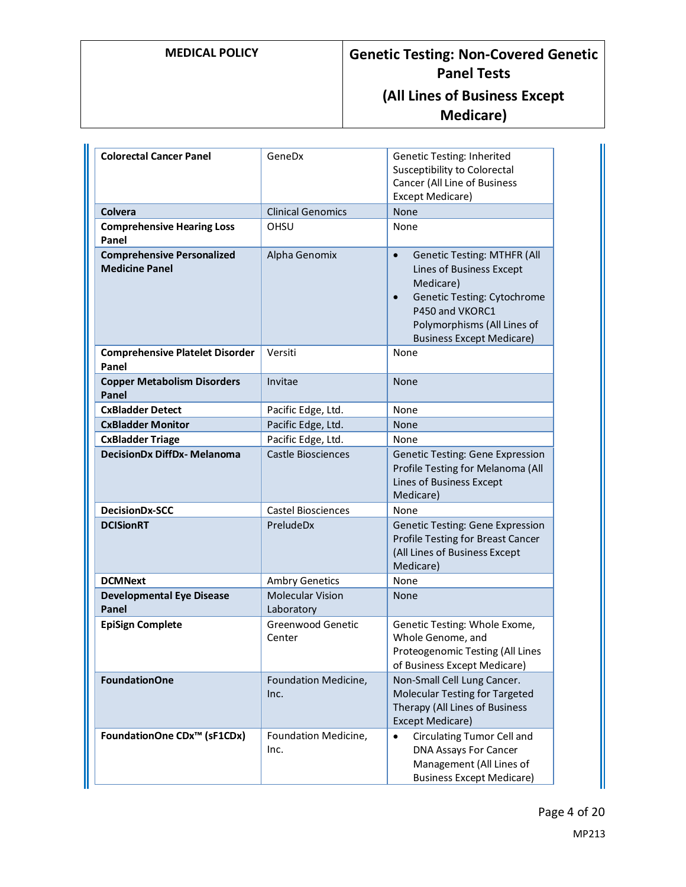# **MEDICAL POLICY Genetic Testing: Non-Covered Genetic Panel Tests (All Lines of Business Except Medicare)**

| <b>Colorectal Cancer Panel</b>                             | GeneDx                                | Genetic Testing: Inherited<br><b>Susceptibility to Colorectal</b><br>Cancer (All Line of Business<br>Except Medicare)                                                                                                             |
|------------------------------------------------------------|---------------------------------------|-----------------------------------------------------------------------------------------------------------------------------------------------------------------------------------------------------------------------------------|
| Colvera                                                    | <b>Clinical Genomics</b>              | None                                                                                                                                                                                                                              |
| <b>Comprehensive Hearing Loss</b><br>Panel                 | OHSU                                  | None                                                                                                                                                                                                                              |
| <b>Comprehensive Personalized</b><br><b>Medicine Panel</b> | Alpha Genomix                         | <b>Genetic Testing: MTHFR (All</b><br>$\bullet$<br>Lines of Business Except<br>Medicare)<br><b>Genetic Testing: Cytochrome</b><br>$\bullet$<br>P450 and VKORC1<br>Polymorphisms (All Lines of<br><b>Business Except Medicare)</b> |
| <b>Comprehensive Platelet Disorder</b><br>Panel            | Versiti                               | None                                                                                                                                                                                                                              |
| <b>Copper Metabolism Disorders</b><br>Panel                | Invitae                               | <b>None</b>                                                                                                                                                                                                                       |
| <b>CxBladder Detect</b>                                    | Pacific Edge, Ltd.                    | None                                                                                                                                                                                                                              |
| <b>CxBladder Monitor</b>                                   | Pacific Edge, Ltd.                    | <b>None</b>                                                                                                                                                                                                                       |
| <b>CxBladder Triage</b>                                    | Pacific Edge, Ltd.                    | None                                                                                                                                                                                                                              |
| <b>DecisionDx DiffDx- Melanoma</b>                         | <b>Castle Biosciences</b>             | <b>Genetic Testing: Gene Expression</b><br>Profile Testing for Melanoma (All<br>Lines of Business Except<br>Medicare)                                                                                                             |
| DecisionDx-SCC                                             | <b>Castel Biosciences</b>             | None                                                                                                                                                                                                                              |
| <b>DCISionRT</b>                                           | PreludeDx                             | Genetic Testing: Gene Expression<br>Profile Testing for Breast Cancer<br>(All Lines of Business Except<br>Medicare)                                                                                                               |
| <b>DCMNext</b>                                             | <b>Ambry Genetics</b>                 | None                                                                                                                                                                                                                              |
| <b>Developmental Eye Disease</b><br>Panel                  | <b>Molecular Vision</b><br>Laboratory | None                                                                                                                                                                                                                              |
| <b>EpiSign Complete</b>                                    | Greenwood Genetic<br>Center           | Genetic Testing: Whole Exome,<br>Whole Genome, and<br>Proteogenomic Testing (All Lines<br>of Business Except Medicare)                                                                                                            |
| <b>FoundationOne</b>                                       | Foundation Medicine,<br>Inc.          | Non-Small Cell Lung Cancer.<br>Molecular Testing for Targeted<br>Therapy (All Lines of Business<br>Except Medicare)                                                                                                               |
| FoundationOne CDx <sup>™</sup> (sF1CDx)                    | Foundation Medicine,<br>Inc.          | Circulating Tumor Cell and<br>$\bullet$<br><b>DNA Assays For Cancer</b><br>Management (All Lines of<br><b>Business Except Medicare)</b>                                                                                           |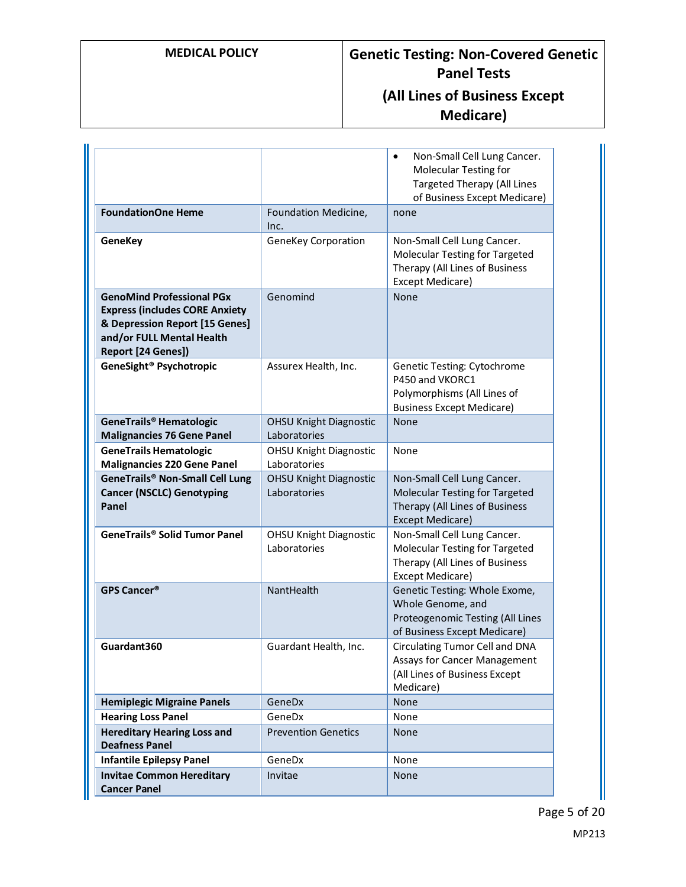# **MEDICAL POLICY Genetic Testing: Non-Covered Genetic Panel Tests (All Lines of Business Except Medicare)**

|                                                                                                                                                                |                                               | Non-Small Cell Lung Cancer.<br>$\bullet$<br><b>Molecular Testing for</b><br><b>Targeted Therapy (All Lines</b><br>of Business Except Medicare) |
|----------------------------------------------------------------------------------------------------------------------------------------------------------------|-----------------------------------------------|------------------------------------------------------------------------------------------------------------------------------------------------|
| <b>FoundationOne Heme</b>                                                                                                                                      | Foundation Medicine,<br>Inc.                  | none                                                                                                                                           |
| <b>GeneKey</b>                                                                                                                                                 | <b>GeneKey Corporation</b>                    | Non-Small Cell Lung Cancer.<br>Molecular Testing for Targeted<br>Therapy (All Lines of Business<br><b>Except Medicare)</b>                     |
| <b>GenoMind Professional PGx</b><br><b>Express (includes CORE Anxiety</b><br>& Depression Report [15 Genes]<br>and/or FULL Mental Health<br>Report [24 Genes]) | Genomind                                      | None                                                                                                                                           |
| GeneSight <sup>®</sup> Psychotropic                                                                                                                            | Assurex Health, Inc.                          | Genetic Testing: Cytochrome<br>P450 and VKORC1<br>Polymorphisms (All Lines of<br><b>Business Except Medicare)</b>                              |
| GeneTrails® Hematologic<br><b>Malignancies 76 Gene Panel</b>                                                                                                   | <b>OHSU Knight Diagnostic</b><br>Laboratories | None                                                                                                                                           |
| <b>GeneTrails Hematologic</b><br><b>Malignancies 220 Gene Panel</b>                                                                                            | <b>OHSU Knight Diagnostic</b><br>Laboratories | None                                                                                                                                           |
| <b>GeneTrails® Non-Small Cell Lung</b><br><b>Cancer (NSCLC) Genotyping</b><br>Panel                                                                            | <b>OHSU Knight Diagnostic</b><br>Laboratories | Non-Small Cell Lung Cancer.<br>Molecular Testing for Targeted<br>Therapy (All Lines of Business<br>Except Medicare)                            |
| GeneTrails® Solid Tumor Panel                                                                                                                                  | <b>OHSU Knight Diagnostic</b><br>Laboratories | Non-Small Cell Lung Cancer.<br>Molecular Testing for Targeted<br>Therapy (All Lines of Business<br>Except Medicare)                            |
| <b>GPS Cancer®</b>                                                                                                                                             | NantHealth                                    | Genetic Testing: Whole Exome,<br>Whole Genome, and<br>Proteogenomic Testing (All Lines<br>of Business Except Medicare)                         |
| Guardant360                                                                                                                                                    | Guardant Health, Inc.                         | <b>Circulating Tumor Cell and DNA</b><br>Assays for Cancer Management<br>(All Lines of Business Except<br>Medicare)                            |
| <b>Hemiplegic Migraine Panels</b>                                                                                                                              | GeneDx                                        | None                                                                                                                                           |
| <b>Hearing Loss Panel</b>                                                                                                                                      | GeneDx                                        | None                                                                                                                                           |
| <b>Hereditary Hearing Loss and</b><br><b>Deafness Panel</b>                                                                                                    | <b>Prevention Genetics</b>                    | None                                                                                                                                           |
| <b>Infantile Epilepsy Panel</b>                                                                                                                                | GeneDx                                        | None                                                                                                                                           |
| <b>Invitae Common Hereditary</b><br><b>Cancer Panel</b>                                                                                                        | Invitae                                       | None                                                                                                                                           |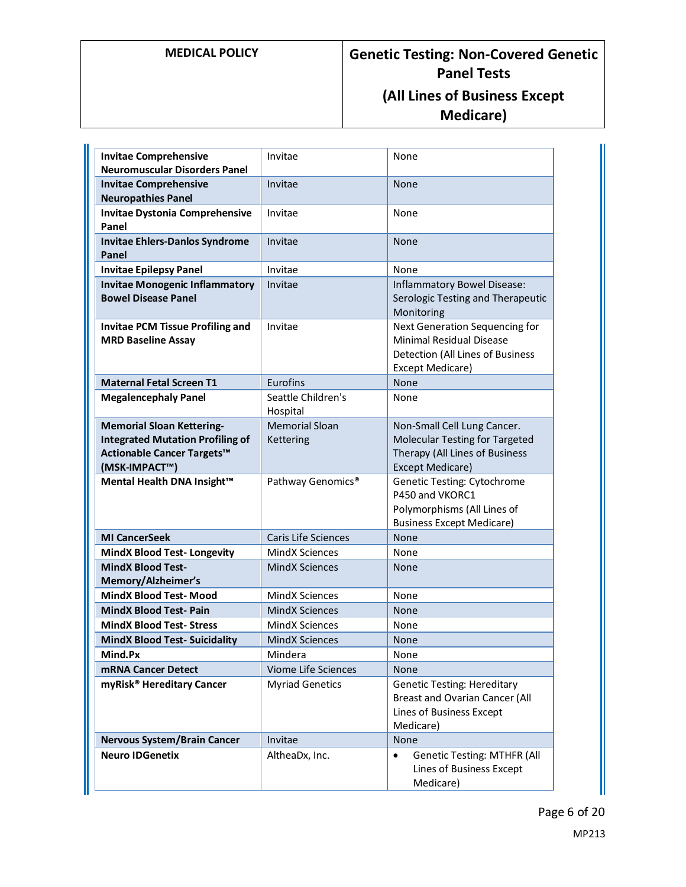| <b>Invitae Comprehensive</b><br><b>Neuromuscular Disorders Panel</b>                   | Invitae                        | None                                                                                                                      |
|----------------------------------------------------------------------------------------|--------------------------------|---------------------------------------------------------------------------------------------------------------------------|
| <b>Invitae Comprehensive</b><br><b>Neuropathies Panel</b>                              | Invitae                        | None                                                                                                                      |
| <b>Invitae Dystonia Comprehensive</b><br>Panel                                         | Invitae                        | None                                                                                                                      |
| <b>Invitae Ehlers-Danlos Syndrome</b><br>Panel                                         | Invitae                        | None                                                                                                                      |
| <b>Invitae Epilepsy Panel</b>                                                          | Invitae                        | None                                                                                                                      |
| <b>Invitae Monogenic Inflammatory</b><br><b>Bowel Disease Panel</b>                    | Invitae                        | Inflammatory Bowel Disease:<br>Serologic Testing and Therapeutic<br>Monitoring                                            |
| <b>Invitae PCM Tissue Profiling and</b><br><b>MRD Baseline Assay</b>                   | Invitae                        | Next Generation Sequencing for<br><b>Minimal Residual Disease</b><br>Detection (All Lines of Business<br>Except Medicare) |
| <b>Maternal Fetal Screen T1</b>                                                        | Eurofins                       | <b>None</b>                                                                                                               |
| <b>Megalencephaly Panel</b>                                                            | Seattle Children's<br>Hospital | None                                                                                                                      |
| <b>Memorial Sloan Kettering-</b>                                                       | <b>Memorial Sloan</b>          | Non-Small Cell Lung Cancer.                                                                                               |
| <b>Integrated Mutation Profiling of</b><br>Actionable Cancer Targets™<br>(MSK-IMPACT™) | Kettering                      | Molecular Testing for Targeted<br>Therapy (All Lines of Business<br><b>Except Medicare)</b>                               |
| Mental Health DNA Insight™                                                             | Pathway Genomics <sup>®</sup>  | <b>Genetic Testing: Cytochrome</b><br>P450 and VKORC1<br>Polymorphisms (All Lines of<br><b>Business Except Medicare)</b>  |
| <b>MI CancerSeek</b>                                                                   | <b>Caris Life Sciences</b>     | None                                                                                                                      |
| <b>MindX Blood Test-Longevity</b>                                                      | <b>MindX Sciences</b>          | None                                                                                                                      |
| <b>MindX Blood Test-</b><br>Memory/Alzheimer's                                         | <b>MindX Sciences</b>          | None                                                                                                                      |
| <b>MindX Blood Test-Mood</b>                                                           | MindX Sciences                 | None                                                                                                                      |
| <b>MindX Blood Test-Pain</b>                                                           | <b>MindX Sciences</b>          | None                                                                                                                      |
| <b>MindX Blood Test- Stress</b>                                                        | <b>MindX Sciences</b>          | None                                                                                                                      |
| <b>MindX Blood Test- Suicidality</b>                                                   | MindX Sciences                 | <b>None</b>                                                                                                               |
| Mind.Px                                                                                | Mindera                        | None                                                                                                                      |
| <b>mRNA Cancer Detect</b>                                                              | Viome Life Sciences            | None                                                                                                                      |
| myRisk <sup>®</sup> Hereditary Cancer                                                  | <b>Myriad Genetics</b>         | <b>Genetic Testing: Hereditary</b><br><b>Breast and Ovarian Cancer (All</b><br>Lines of Business Except<br>Medicare)      |
| <b>Nervous System/Brain Cancer</b>                                                     | Invitae                        | None                                                                                                                      |
| <b>Neuro IDGenetix</b>                                                                 | AltheaDx, Inc.                 | <b>Genetic Testing: MTHFR (All</b><br>$\bullet$<br>Lines of Business Except<br>Medicare)                                  |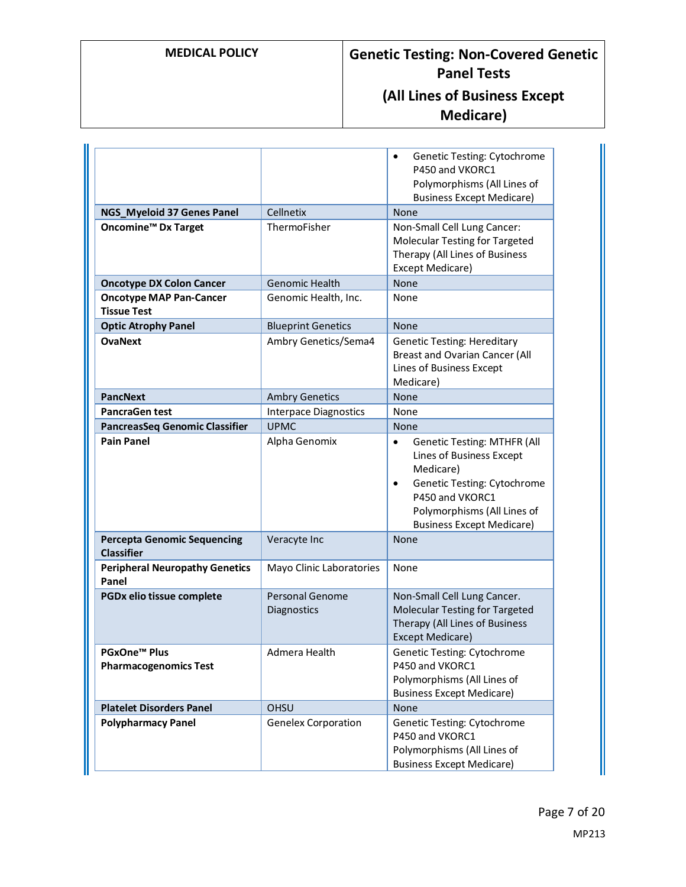|                                                         |                                | Genetic Testing: Cytochrome<br>$\bullet$<br>P450 and VKORC1<br>Polymorphisms (All Lines of<br><b>Business Except Medicare)</b>                                                                                             |
|---------------------------------------------------------|--------------------------------|----------------------------------------------------------------------------------------------------------------------------------------------------------------------------------------------------------------------------|
| NGS_Myeloid 37 Genes Panel                              | Cellnetix                      | None                                                                                                                                                                                                                       |
| <b>Oncomine<sup>™</sup> Dx Target</b>                   | ThermoFisher                   | Non-Small Cell Lung Cancer:<br>Molecular Testing for Targeted<br>Therapy (All Lines of Business<br>Except Medicare)                                                                                                        |
| <b>Oncotype DX Colon Cancer</b>                         | <b>Genomic Health</b>          | None                                                                                                                                                                                                                       |
| <b>Oncotype MAP Pan-Cancer</b><br><b>Tissue Test</b>    | Genomic Health, Inc.           | None                                                                                                                                                                                                                       |
| <b>Optic Atrophy Panel</b>                              | <b>Blueprint Genetics</b>      | None                                                                                                                                                                                                                       |
| <b>OvaNext</b>                                          | Ambry Genetics/Sema4           | <b>Genetic Testing: Hereditary</b><br><b>Breast and Ovarian Cancer (All</b><br>Lines of Business Except<br>Medicare)                                                                                                       |
| <b>PancNext</b>                                         | <b>Ambry Genetics</b>          | None                                                                                                                                                                                                                       |
| <b>PancraGen test</b>                                   | <b>Interpace Diagnostics</b>   | None                                                                                                                                                                                                                       |
| <b>PancreasSeq Genomic Classifier</b>                   | <b>UPMC</b>                    | None                                                                                                                                                                                                                       |
| <b>Pain Panel</b>                                       | Alpha Genomix                  | <b>Genetic Testing: MTHFR (All</b><br>$\bullet$<br>Lines of Business Except<br>Medicare)<br>Genetic Testing: Cytochrome<br>$\bullet$<br>P450 and VKORC1<br>Polymorphisms (All Lines of<br><b>Business Except Medicare)</b> |
| <b>Percepta Genomic Sequencing</b><br><b>Classifier</b> | Veracyte Inc                   | <b>None</b>                                                                                                                                                                                                                |
| <b>Peripheral Neuropathy Genetics</b><br>Panel          | Mayo Clinic Laboratories       | None                                                                                                                                                                                                                       |
| PGDx elio tissue complete                               | Personal Genome<br>Diagnostics | Non-Small Cell Lung Cancer.<br><b>Molecular Testing for Targeted</b><br>Therapy (All Lines of Business<br><b>Except Medicare)</b>                                                                                          |
| <b>PGxOne™ Plus</b><br><b>Pharmacogenomics Test</b>     | Admera Health                  | Genetic Testing: Cytochrome<br>P450 and VKORC1<br>Polymorphisms (All Lines of<br><b>Business Except Medicare)</b>                                                                                                          |
| <b>Platelet Disorders Panel</b>                         | <b>OHSU</b>                    | None                                                                                                                                                                                                                       |
| <b>Polypharmacy Panel</b>                               | <b>Genelex Corporation</b>     | <b>Genetic Testing: Cytochrome</b><br>P450 and VKORC1<br>Polymorphisms (All Lines of<br><b>Business Except Medicare)</b>                                                                                                   |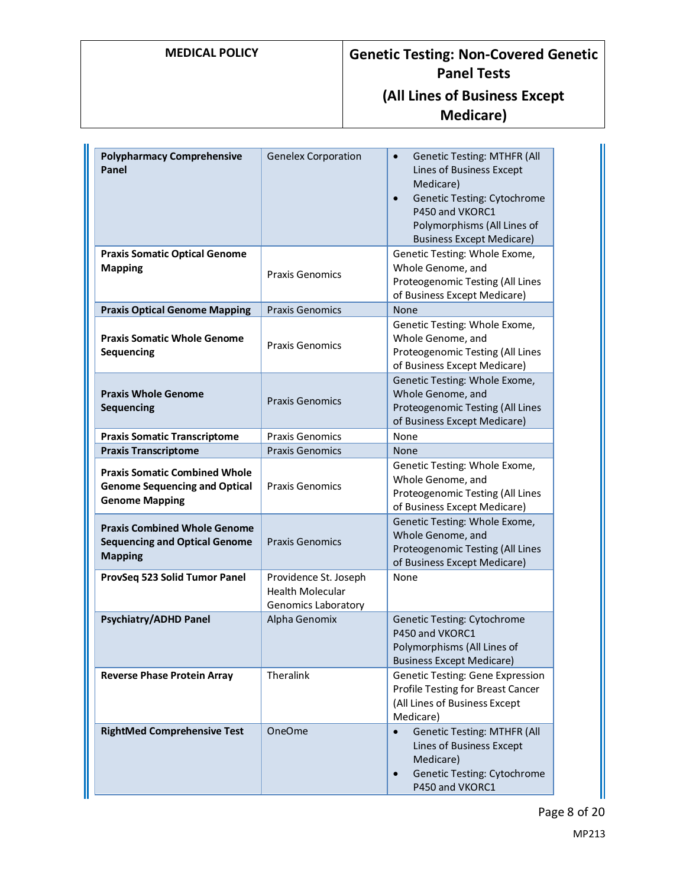| <b>Polypharmacy Comprehensive</b><br>Panel                                                            | <b>Genelex Corporation</b>                                                     | <b>Genetic Testing: MTHFR (All</b><br>$\bullet$<br>Lines of Business Except<br>Medicare)<br><b>Genetic Testing: Cytochrome</b><br>$\bullet$<br>P450 and VKORC1<br>Polymorphisms (All Lines of<br><b>Business Except Medicare)</b> |
|-------------------------------------------------------------------------------------------------------|--------------------------------------------------------------------------------|-----------------------------------------------------------------------------------------------------------------------------------------------------------------------------------------------------------------------------------|
| <b>Praxis Somatic Optical Genome</b><br><b>Mapping</b>                                                | <b>Praxis Genomics</b>                                                         | Genetic Testing: Whole Exome,<br>Whole Genome, and<br>Proteogenomic Testing (All Lines<br>of Business Except Medicare)                                                                                                            |
| <b>Praxis Optical Genome Mapping</b>                                                                  | <b>Praxis Genomics</b>                                                         | None                                                                                                                                                                                                                              |
| <b>Praxis Somatic Whole Genome</b><br>Sequencing                                                      | <b>Praxis Genomics</b>                                                         | Genetic Testing: Whole Exome,<br>Whole Genome, and<br>Proteogenomic Testing (All Lines<br>of Business Except Medicare)                                                                                                            |
| <b>Praxis Whole Genome</b><br>Sequencing                                                              | <b>Praxis Genomics</b>                                                         | Genetic Testing: Whole Exome,<br>Whole Genome, and<br>Proteogenomic Testing (All Lines<br>of Business Except Medicare)                                                                                                            |
| <b>Praxis Somatic Transcriptome</b>                                                                   | <b>Praxis Genomics</b>                                                         | None                                                                                                                                                                                                                              |
| <b>Praxis Transcriptome</b>                                                                           | <b>Praxis Genomics</b>                                                         | None                                                                                                                                                                                                                              |
| <b>Praxis Somatic Combined Whole</b><br><b>Genome Sequencing and Optical</b><br><b>Genome Mapping</b> | <b>Praxis Genomics</b>                                                         | Genetic Testing: Whole Exome,<br>Whole Genome, and<br>Proteogenomic Testing (All Lines<br>of Business Except Medicare)                                                                                                            |
| <b>Praxis Combined Whole Genome</b><br><b>Sequencing and Optical Genome</b><br><b>Mapping</b>         | <b>Praxis Genomics</b>                                                         | Genetic Testing: Whole Exome,<br>Whole Genome, and<br>Proteogenomic Testing (All Lines<br>of Business Except Medicare)                                                                                                            |
| ProvSeq 523 Solid Tumor Panel                                                                         | Providence St. Joseph<br><b>Health Molecular</b><br><b>Genomics Laboratory</b> | None                                                                                                                                                                                                                              |
| <b>Psychiatry/ADHD Panel</b>                                                                          | Alpha Genomix                                                                  | Genetic Testing: Cytochrome<br>P450 and VKORC1<br>Polymorphisms (All Lines of<br><b>Business Except Medicare)</b>                                                                                                                 |
| <b>Reverse Phase Protein Array</b>                                                                    | Theralink                                                                      | <b>Genetic Testing: Gene Expression</b><br>Profile Testing for Breast Cancer<br>(All Lines of Business Except<br>Medicare)                                                                                                        |
| <b>RightMed Comprehensive Test</b>                                                                    | <b>OneOme</b>                                                                  | <b>Genetic Testing: MTHFR (All</b><br>$\bullet$<br>Lines of Business Except<br>Medicare)<br>Genetic Testing: Cytochrome<br>P450 and VKORC1                                                                                        |

Page 8 of 20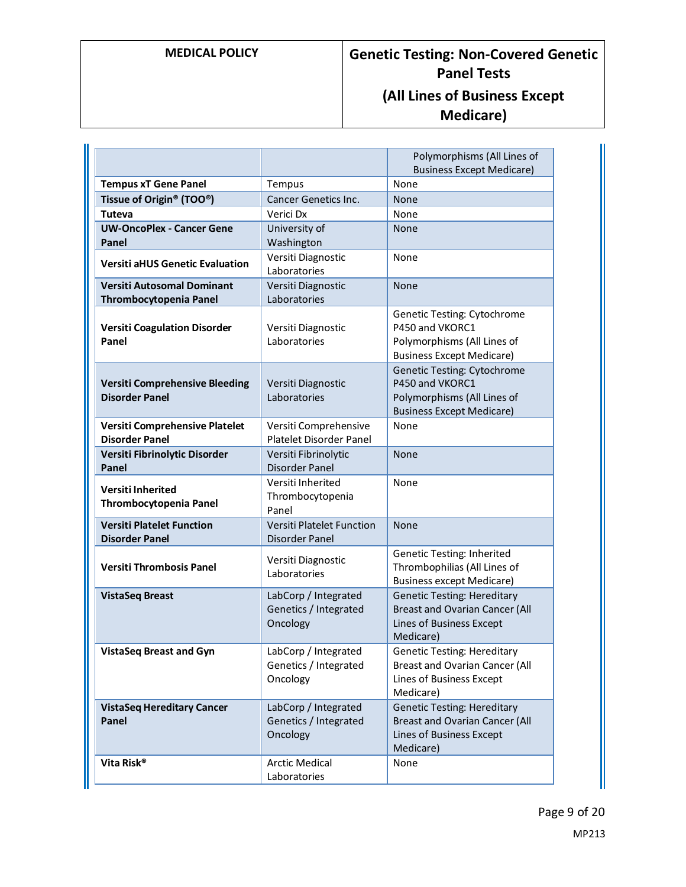# **MEDICAL POLICY Genetic Testing: Non-Covered Genetic Panel Tests (All Lines of Business Except Medicare)**

|                                                                    |                                                           | Polymorphisms (All Lines of<br><b>Business Except Medicare)</b>                                                          |
|--------------------------------------------------------------------|-----------------------------------------------------------|--------------------------------------------------------------------------------------------------------------------------|
| <b>Tempus xT Gene Panel</b>                                        | Tempus                                                    | None                                                                                                                     |
| Tissue of Origin <sup>®</sup> (TOO <sup>®</sup> )                  | <b>Cancer Genetics Inc.</b>                               | <b>None</b>                                                                                                              |
| <b>Tuteva</b>                                                      | Verici Dx                                                 | None                                                                                                                     |
| <b>UW-OncoPlex - Cancer Gene</b><br>Panel                          | University of<br>Washington                               | None                                                                                                                     |
| <b>Versiti aHUS Genetic Evaluation</b>                             | Versiti Diagnostic<br>Laboratories                        | None                                                                                                                     |
| <b>Versiti Autosomal Dominant</b><br><b>Thrombocytopenia Panel</b> | Versiti Diagnostic<br>Laboratories                        | None                                                                                                                     |
| <b>Versiti Coagulation Disorder</b><br>Panel                       | Versiti Diagnostic<br>Laboratories                        | Genetic Testing: Cytochrome<br>P450 and VKORC1<br>Polymorphisms (All Lines of<br><b>Business Except Medicare)</b>        |
| <b>Versiti Comprehensive Bleeding</b><br><b>Disorder Panel</b>     | Versiti Diagnostic<br>Laboratories                        | <b>Genetic Testing: Cytochrome</b><br>P450 and VKORC1<br>Polymorphisms (All Lines of<br><b>Business Except Medicare)</b> |
| Versiti Comprehensive Platelet<br><b>Disorder Panel</b>            | Versiti Comprehensive<br>Platelet Disorder Panel          | None                                                                                                                     |
| Versiti Fibrinolytic Disorder<br>Panel                             | Versiti Fibrinolytic<br><b>Disorder Panel</b>             | None                                                                                                                     |
| <b>Versiti Inherited</b><br><b>Thrombocytopenia Panel</b>          | Versiti Inherited<br>Thrombocytopenia<br>Panel            | None                                                                                                                     |
| <b>Versiti Platelet Function</b><br><b>Disorder Panel</b>          | Versiti Platelet Function<br><b>Disorder Panel</b>        | None                                                                                                                     |
| <b>Versiti Thrombosis Panel</b>                                    | Versiti Diagnostic<br>Laboratories                        | Genetic Testing: Inherited<br>Thrombophilias (All Lines of<br><b>Business except Medicare)</b>                           |
| <b>VistaSeq Breast</b>                                             | LabCorp / Integrated<br>Genetics / Integrated<br>Oncology | <b>Genetic Testing: Hereditary</b><br><b>Breast and Ovarian Cancer (All</b><br>Lines of Business Except<br>Medicare)     |
| <b>VistaSeq Breast and Gyn</b>                                     | LabCorp / Integrated<br>Genetics / Integrated<br>Oncology | <b>Genetic Testing: Hereditary</b><br><b>Breast and Ovarian Cancer (All</b><br>Lines of Business Except<br>Medicare)     |
| <b>VistaSeq Hereditary Cancer</b><br>Panel                         | LabCorp / Integrated<br>Genetics / Integrated<br>Oncology | <b>Genetic Testing: Hereditary</b><br><b>Breast and Ovarian Cancer (All</b><br>Lines of Business Except<br>Medicare)     |
| Vita Risk®                                                         | <b>Arctic Medical</b><br>Laboratories                     | None                                                                                                                     |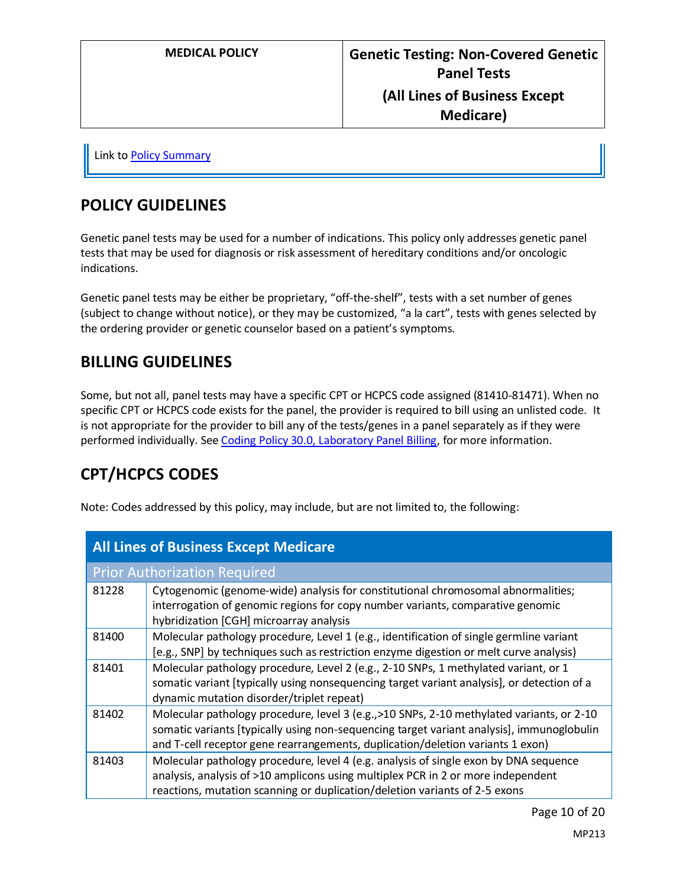Link t[o Policy Summary](#page-18-0)

### **POLICY GUIDELINES**

Genetic panel tests may be used for a number of indications. This policy only addresses genetic panel tests that may be used for diagnosis or risk assessment of hereditary conditions and/or oncologic indications.

Genetic panel tests may be either be proprietary, "off-the-shelf", tests with a set number of genes (subject to change without notice), or they may be customized, "a la cart", tests with genes selected by the ordering provider or genetic counselor based on a patient's symptoms.

## **BILLING GUIDELINES**

Some, but not all, panel tests may have a specific CPT or HCPCS code assigned (81410-81471). When no specific CPT or HCPCS code exists for the panel, the provider is required to bill using an unlisted code. It is not appropriate for the provider to bill any of the tests/genes in a panel separately as if they were performed individually. Se[e Coding Policy 30.0, Laboratory Panel Billing,](https://www.providencehealthplan.com/-/media/providence/website/pdfs/providers/medical-policy-and-provider-information/billing-payment-and-coding-policies/php_coding_30.pdf?sc_lang=en&rev=de0832ff0b4a4bf2be63f494e32f007b&hash=5483D6EBB21855E9B0BAFE3F16AD4500) for more information.

# **CPT/HCPCS CODES**

Note: Codes addressed by this policy, may include, but are not limited to, the following:

| <b>All Lines of Business Except Medicare</b> |                                                                                                                                                                                                                                                                          |  |
|----------------------------------------------|--------------------------------------------------------------------------------------------------------------------------------------------------------------------------------------------------------------------------------------------------------------------------|--|
|                                              | <b>Prior Authorization Required</b>                                                                                                                                                                                                                                      |  |
| 81228                                        | Cytogenomic (genome-wide) analysis for constitutional chromosomal abnormalities;<br>interrogation of genomic regions for copy number variants, comparative genomic<br>hybridization [CGH] microarray analysis                                                            |  |
| 81400                                        | Molecular pathology procedure, Level 1 (e.g., identification of single germline variant<br>[e.g., SNP] by techniques such as restriction enzyme digestion or melt curve analysis)                                                                                        |  |
| 81401                                        | Molecular pathology procedure, Level 2 (e.g., 2-10 SNPs, 1 methylated variant, or 1<br>somatic variant [typically using nonsequencing target variant analysis], or detection of a<br>dynamic mutation disorder/triplet repeat)                                           |  |
| 81402                                        | Molecular pathology procedure, level 3 (e.g., >10 SNPs, 2-10 methylated variants, or 2-10<br>somatic variants [typically using non-sequencing target variant analysis], immunoglobulin<br>and T-cell receptor gene rearrangements, duplication/deletion variants 1 exon) |  |
| 81403                                        | Molecular pathology procedure, level 4 (e.g. analysis of single exon by DNA sequence<br>analysis, analysis of >10 amplicons using multiplex PCR in 2 or more independent<br>reactions, mutation scanning or duplication/deletion variants of 2-5 exons                   |  |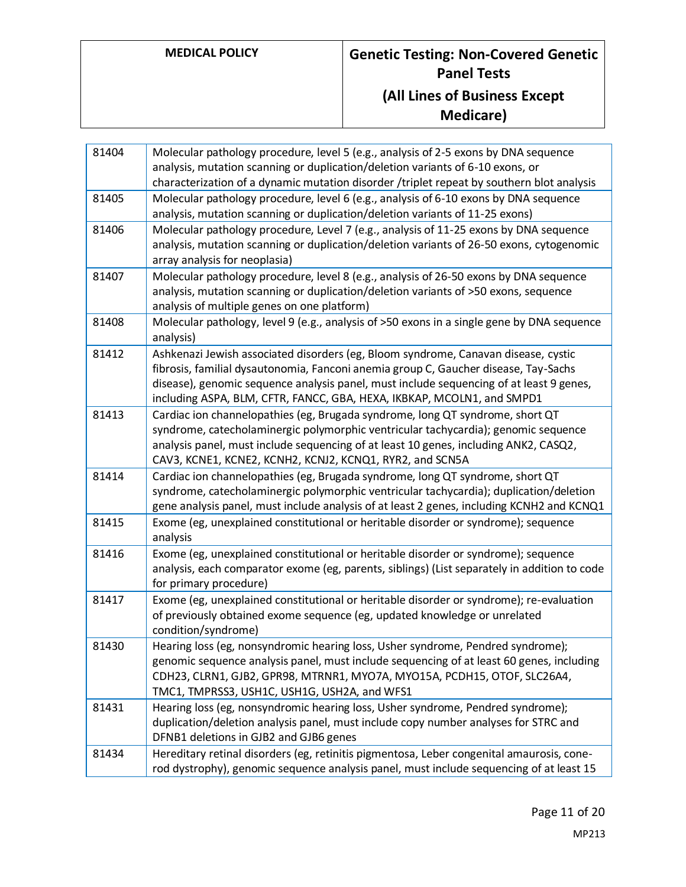| 81404 | Molecular pathology procedure, level 5 (e.g., analysis of 2-5 exons by DNA sequence<br>analysis, mutation scanning or duplication/deletion variants of 6-10 exons, or<br>characterization of a dynamic mutation disorder /triplet repeat by southern blot analysis                                                                             |
|-------|------------------------------------------------------------------------------------------------------------------------------------------------------------------------------------------------------------------------------------------------------------------------------------------------------------------------------------------------|
| 81405 | Molecular pathology procedure, level 6 (e.g., analysis of 6-10 exons by DNA sequence<br>analysis, mutation scanning or duplication/deletion variants of 11-25 exons)                                                                                                                                                                           |
| 81406 | Molecular pathology procedure, Level 7 (e.g., analysis of 11-25 exons by DNA sequence<br>analysis, mutation scanning or duplication/deletion variants of 26-50 exons, cytogenomic<br>array analysis for neoplasia)                                                                                                                             |
| 81407 | Molecular pathology procedure, level 8 (e.g., analysis of 26-50 exons by DNA sequence<br>analysis, mutation scanning or duplication/deletion variants of >50 exons, sequence<br>analysis of multiple genes on one platform)                                                                                                                    |
| 81408 | Molecular pathology, level 9 (e.g., analysis of >50 exons in a single gene by DNA sequence<br>analysis)                                                                                                                                                                                                                                        |
| 81412 | Ashkenazi Jewish associated disorders (eg, Bloom syndrome, Canavan disease, cystic<br>fibrosis, familial dysautonomia, Fanconi anemia group C, Gaucher disease, Tay-Sachs<br>disease), genomic sequence analysis panel, must include sequencing of at least 9 genes,<br>including ASPA, BLM, CFTR, FANCC, GBA, HEXA, IKBKAP, MCOLN1, and SMPD1 |
| 81413 | Cardiac ion channelopathies (eg, Brugada syndrome, long QT syndrome, short QT<br>syndrome, catecholaminergic polymorphic ventricular tachycardia); genomic sequence<br>analysis panel, must include sequencing of at least 10 genes, including ANK2, CASQ2,<br>CAV3, KCNE1, KCNE2, KCNH2, KCNJ2, KCNQ1, RYR2, and SCN5A                        |
| 81414 | Cardiac ion channelopathies (eg, Brugada syndrome, long QT syndrome, short QT<br>syndrome, catecholaminergic polymorphic ventricular tachycardia); duplication/deletion<br>gene analysis panel, must include analysis of at least 2 genes, including KCNH2 and KCNQ1                                                                           |
| 81415 | Exome (eg, unexplained constitutional or heritable disorder or syndrome); sequence<br>analysis                                                                                                                                                                                                                                                 |
| 81416 | Exome (eg, unexplained constitutional or heritable disorder or syndrome); sequence<br>analysis, each comparator exome (eg, parents, siblings) (List separately in addition to code<br>for primary procedure)                                                                                                                                   |
| 81417 | Exome (eg, unexplained constitutional or heritable disorder or syndrome); re-evaluation<br>of previously obtained exome sequence (eg, updated knowledge or unrelated<br>condition/syndrome)                                                                                                                                                    |
| 81430 | Hearing loss (eg, nonsyndromic hearing loss, Usher syndrome, Pendred syndrome);<br>genomic sequence analysis panel, must include sequencing of at least 60 genes, including<br>CDH23, CLRN1, GJB2, GPR98, MTRNR1, MYO7A, MYO15A, PCDH15, OTOF, SLC26A4,<br>TMC1, TMPRSS3, USH1C, USH1G, USH2A, and WFS1                                        |
| 81431 | Hearing loss (eg, nonsyndromic hearing loss, Usher syndrome, Pendred syndrome);<br>duplication/deletion analysis panel, must include copy number analyses for STRC and<br>DFNB1 deletions in GJB2 and GJB6 genes                                                                                                                               |
| 81434 | Hereditary retinal disorders (eg, retinitis pigmentosa, Leber congenital amaurosis, cone-<br>rod dystrophy), genomic sequence analysis panel, must include sequencing of at least 15                                                                                                                                                           |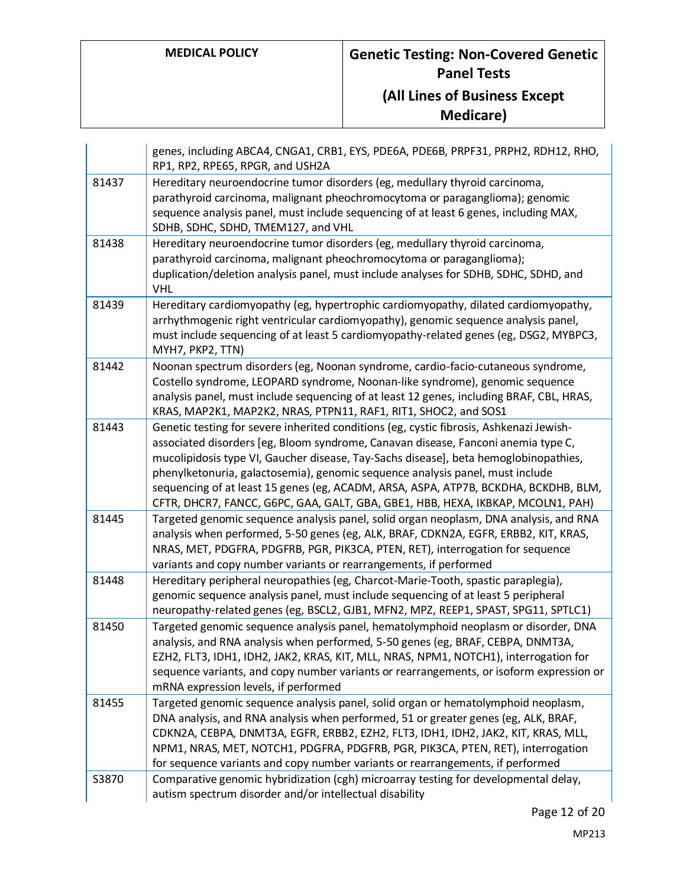|       | genes, including ABCA4, CNGA1, CRB1, EYS, PDE6A, PDE6B, PRPF31, PRPH2, RDH12, RHO,<br>RP1, RP2, RPE65, RPGR, and USH2A                                                                                                                                                                                                                                                                                                                                                                                                          |
|-------|---------------------------------------------------------------------------------------------------------------------------------------------------------------------------------------------------------------------------------------------------------------------------------------------------------------------------------------------------------------------------------------------------------------------------------------------------------------------------------------------------------------------------------|
| 81437 | Hereditary neuroendocrine tumor disorders (eg, medullary thyroid carcinoma,<br>parathyroid carcinoma, malignant pheochromocytoma or paraganglioma); genomic<br>sequence analysis panel, must include sequencing of at least 6 genes, including MAX,<br>SDHB, SDHC, SDHD, TMEM127, and VHL                                                                                                                                                                                                                                       |
| 81438 | Hereditary neuroendocrine tumor disorders (eg, medullary thyroid carcinoma,<br>parathyroid carcinoma, malignant pheochromocytoma or paraganglioma);<br>duplication/deletion analysis panel, must include analyses for SDHB, SDHC, SDHD, and<br><b>VHL</b>                                                                                                                                                                                                                                                                       |
| 81439 | Hereditary cardiomyopathy (eg, hypertrophic cardiomyopathy, dilated cardiomyopathy,<br>arrhythmogenic right ventricular cardiomyopathy), genomic sequence analysis panel,<br>must include sequencing of at least 5 cardiomyopathy-related genes (eg, DSG2, MYBPC3,<br>MYH7, PKP2, TTN)                                                                                                                                                                                                                                          |
| 81442 | Noonan spectrum disorders (eg, Noonan syndrome, cardio-facio-cutaneous syndrome,<br>Costello syndrome, LEOPARD syndrome, Noonan-like syndrome), genomic sequence<br>analysis panel, must include sequencing of at least 12 genes, including BRAF, CBL, HRAS,<br>KRAS, MAP2K1, MAP2K2, NRAS, PTPN11, RAF1, RIT1, SHOC2, and SOS1                                                                                                                                                                                                 |
| 81443 | Genetic testing for severe inherited conditions (eg, cystic fibrosis, Ashkenazi Jewish-<br>associated disorders [eg, Bloom syndrome, Canavan disease, Fanconi anemia type C,<br>mucolipidosis type VI, Gaucher disease, Tay-Sachs disease], beta hemoglobinopathies,<br>phenylketonuria, galactosemia), genomic sequence analysis panel, must include<br>sequencing of at least 15 genes (eg, ACADM, ARSA, ASPA, ATP7B, BCKDHA, BCKDHB, BLM,<br>CFTR, DHCR7, FANCC, G6PC, GAA, GALT, GBA, GBE1, HBB, HEXA, IKBKAP, MCOLN1, PAH) |
| 81445 | Targeted genomic sequence analysis panel, solid organ neoplasm, DNA analysis, and RNA<br>analysis when performed, 5-50 genes (eg, ALK, BRAF, CDKN2A, EGFR, ERBB2, KIT, KRAS,<br>NRAS, MET, PDGFRA, PDGFRB, PGR, PIK3CA, PTEN, RET), interrogation for sequence<br>variants and copy number variants or rearrangements, if performed                                                                                                                                                                                             |
| 81448 | Hereditary peripheral neuropathies (eg, Charcot-Marie-Tooth, spastic paraplegia),<br>genomic sequence analysis panel, must include sequencing of at least 5 peripheral<br>neuropathy-related genes (eg, BSCL2, GJB1, MFN2, MPZ, REEP1, SPAST, SPG11, SPTLC1)                                                                                                                                                                                                                                                                    |
| 81450 | Targeted genomic sequence analysis panel, hematolymphoid neoplasm or disorder, DNA<br>analysis, and RNA analysis when performed, 5-50 genes (eg, BRAF, CEBPA, DNMT3A,<br>EZH2, FLT3, IDH1, IDH2, JAK2, KRAS, KIT, MLL, NRAS, NPM1, NOTCH1), interrogation for<br>sequence variants, and copy number variants or rearrangements, or isoform expression or<br>mRNA expression levels, if performed                                                                                                                                |
| 81455 | Targeted genomic sequence analysis panel, solid organ or hematolymphoid neoplasm,<br>DNA analysis, and RNA analysis when performed, 51 or greater genes (eg, ALK, BRAF,<br>CDKN2A, CEBPA, DNMT3A, EGFR, ERBB2, EZH2, FLT3, IDH1, IDH2, JAK2, KIT, KRAS, MLL,<br>NPM1, NRAS, MET, NOTCH1, PDGFRA, PDGFRB, PGR, PIK3CA, PTEN, RET), interrogation<br>for sequence variants and copy number variants or rearrangements, if performed                                                                                               |
| S3870 | Comparative genomic hybridization (cgh) microarray testing for developmental delay,<br>autism spectrum disorder and/or intellectual disability                                                                                                                                                                                                                                                                                                                                                                                  |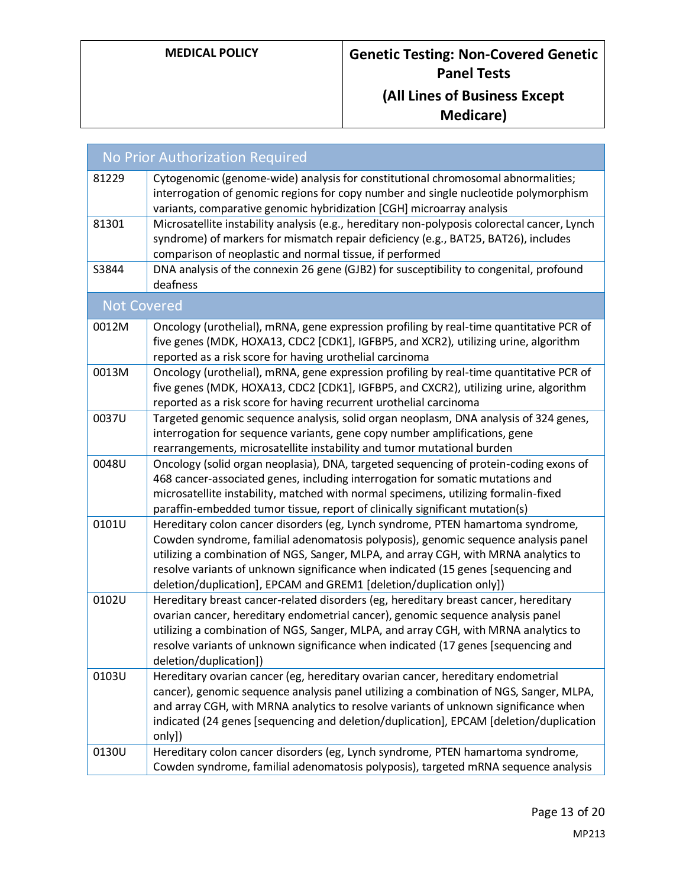| No Prior Authorization Required |                                                                                                                                                                                                                                                                                                                                                                                                                          |  |
|---------------------------------|--------------------------------------------------------------------------------------------------------------------------------------------------------------------------------------------------------------------------------------------------------------------------------------------------------------------------------------------------------------------------------------------------------------------------|--|
| 81229                           | Cytogenomic (genome-wide) analysis for constitutional chromosomal abnormalities;<br>interrogation of genomic regions for copy number and single nucleotide polymorphism<br>variants, comparative genomic hybridization [CGH] microarray analysis                                                                                                                                                                         |  |
| 81301                           | Microsatellite instability analysis (e.g., hereditary non-polyposis colorectal cancer, Lynch<br>syndrome) of markers for mismatch repair deficiency (e.g., BAT25, BAT26), includes<br>comparison of neoplastic and normal tissue, if performed                                                                                                                                                                           |  |
| S3844                           | DNA analysis of the connexin 26 gene (GJB2) for susceptibility to congenital, profound<br>deafness                                                                                                                                                                                                                                                                                                                       |  |
| <b>Not Covered</b>              |                                                                                                                                                                                                                                                                                                                                                                                                                          |  |
| 0012M                           | Oncology (urothelial), mRNA, gene expression profiling by real-time quantitative PCR of<br>five genes (MDK, HOXA13, CDC2 [CDK1], IGFBP5, and XCR2), utilizing urine, algorithm<br>reported as a risk score for having urothelial carcinoma                                                                                                                                                                               |  |
| 0013M                           | Oncology (urothelial), mRNA, gene expression profiling by real-time quantitative PCR of<br>five genes (MDK, HOXA13, CDC2 [CDK1], IGFBP5, and CXCR2), utilizing urine, algorithm<br>reported as a risk score for having recurrent urothelial carcinoma                                                                                                                                                                    |  |
| 0037U                           | Targeted genomic sequence analysis, solid organ neoplasm, DNA analysis of 324 genes,<br>interrogation for sequence variants, gene copy number amplifications, gene<br>rearrangements, microsatellite instability and tumor mutational burden                                                                                                                                                                             |  |
| 0048U                           | Oncology (solid organ neoplasia), DNA, targeted sequencing of protein-coding exons of<br>468 cancer-associated genes, including interrogation for somatic mutations and<br>microsatellite instability, matched with normal specimens, utilizing formalin-fixed<br>paraffin-embedded tumor tissue, report of clinically significant mutation(s)                                                                           |  |
| 0101U                           | Hereditary colon cancer disorders (eg, Lynch syndrome, PTEN hamartoma syndrome,<br>Cowden syndrome, familial adenomatosis polyposis), genomic sequence analysis panel<br>utilizing a combination of NGS, Sanger, MLPA, and array CGH, with MRNA analytics to<br>resolve variants of unknown significance when indicated (15 genes [sequencing and<br>deletion/duplication], EPCAM and GREM1 [deletion/duplication only]) |  |
| 0102U                           | Hereditary breast cancer-related disorders (eg, hereditary breast cancer, hereditary<br>ovarian cancer, hereditary endometrial cancer), genomic sequence analysis panel<br>utilizing a combination of NGS, Sanger, MLPA, and array CGH, with MRNA analytics to<br>resolve variants of unknown significance when indicated (17 genes [sequencing and<br>deletion/duplication])                                            |  |
| 0103U                           | Hereditary ovarian cancer (eg, hereditary ovarian cancer, hereditary endometrial<br>cancer), genomic sequence analysis panel utilizing a combination of NGS, Sanger, MLPA,<br>and array CGH, with MRNA analytics to resolve variants of unknown significance when<br>indicated (24 genes [sequencing and deletion/duplication], EPCAM [deletion/duplication<br>only])                                                    |  |
| 0130U                           | Hereditary colon cancer disorders (eg, Lynch syndrome, PTEN hamartoma syndrome,<br>Cowden syndrome, familial adenomatosis polyposis), targeted mRNA sequence analysis                                                                                                                                                                                                                                                    |  |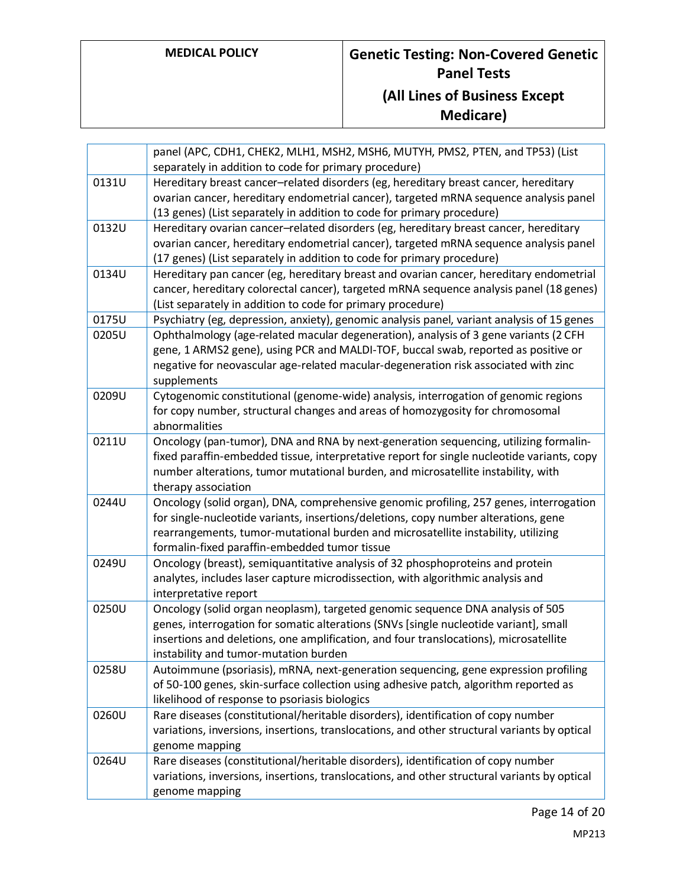|       | panel (APC, CDH1, CHEK2, MLH1, MSH2, MSH6, MUTYH, PMS2, PTEN, and TP53) (List<br>separately in addition to code for primary procedure)                                                                                                                                                                              |
|-------|---------------------------------------------------------------------------------------------------------------------------------------------------------------------------------------------------------------------------------------------------------------------------------------------------------------------|
| 0131U | Hereditary breast cancer-related disorders (eg, hereditary breast cancer, hereditary<br>ovarian cancer, hereditary endometrial cancer), targeted mRNA sequence analysis panel<br>(13 genes) (List separately in addition to code for primary procedure)                                                             |
| 0132U | Hereditary ovarian cancer-related disorders (eg, hereditary breast cancer, hereditary<br>ovarian cancer, hereditary endometrial cancer), targeted mRNA sequence analysis panel<br>(17 genes) (List separately in addition to code for primary procedure)                                                            |
| 0134U | Hereditary pan cancer (eg, hereditary breast and ovarian cancer, hereditary endometrial<br>cancer, hereditary colorectal cancer), targeted mRNA sequence analysis panel (18 genes)<br>(List separately in addition to code for primary procedure)                                                                   |
| 0175U | Psychiatry (eg, depression, anxiety), genomic analysis panel, variant analysis of 15 genes                                                                                                                                                                                                                          |
| 0205U | Ophthalmology (age-related macular degeneration), analysis of 3 gene variants (2 CFH<br>gene, 1 ARMS2 gene), using PCR and MALDI-TOF, buccal swab, reported as positive or<br>negative for neovascular age-related macular-degeneration risk associated with zinc<br>supplements                                    |
| 0209U | Cytogenomic constitutional (genome-wide) analysis, interrogation of genomic regions<br>for copy number, structural changes and areas of homozygosity for chromosomal<br>abnormalities                                                                                                                               |
| 0211U | Oncology (pan-tumor), DNA and RNA by next-generation sequencing, utilizing formalin-<br>fixed paraffin-embedded tissue, interpretative report for single nucleotide variants, copy<br>number alterations, tumor mutational burden, and microsatellite instability, with<br>therapy association                      |
| 0244U | Oncology (solid organ), DNA, comprehensive genomic profiling, 257 genes, interrogation<br>for single-nucleotide variants, insertions/deletions, copy number alterations, gene<br>rearrangements, tumor-mutational burden and microsatellite instability, utilizing<br>formalin-fixed paraffin-embedded tumor tissue |
| 0249U | Oncology (breast), semiquantitative analysis of 32 phosphoproteins and protein<br>analytes, includes laser capture microdissection, with algorithmic analysis and<br>interpretative report                                                                                                                          |
| 0250U | Oncology (solid organ neoplasm), targeted genomic sequence DNA analysis of 505<br>genes, interrogation for somatic alterations (SNVs [single nucleotide variant], small<br>insertions and deletions, one amplification, and four translocations), microsatellite<br>instability and tumor-mutation burden           |
| 0258U | Autoimmune (psoriasis), mRNA, next-generation sequencing, gene expression profiling<br>of 50-100 genes, skin-surface collection using adhesive patch, algorithm reported as<br>likelihood of response to psoriasis biologics                                                                                        |
| 0260U | Rare diseases (constitutional/heritable disorders), identification of copy number<br>variations, inversions, insertions, translocations, and other structural variants by optical<br>genome mapping                                                                                                                 |
| 0264U | Rare diseases (constitutional/heritable disorders), identification of copy number<br>variations, inversions, insertions, translocations, and other structural variants by optical<br>genome mapping                                                                                                                 |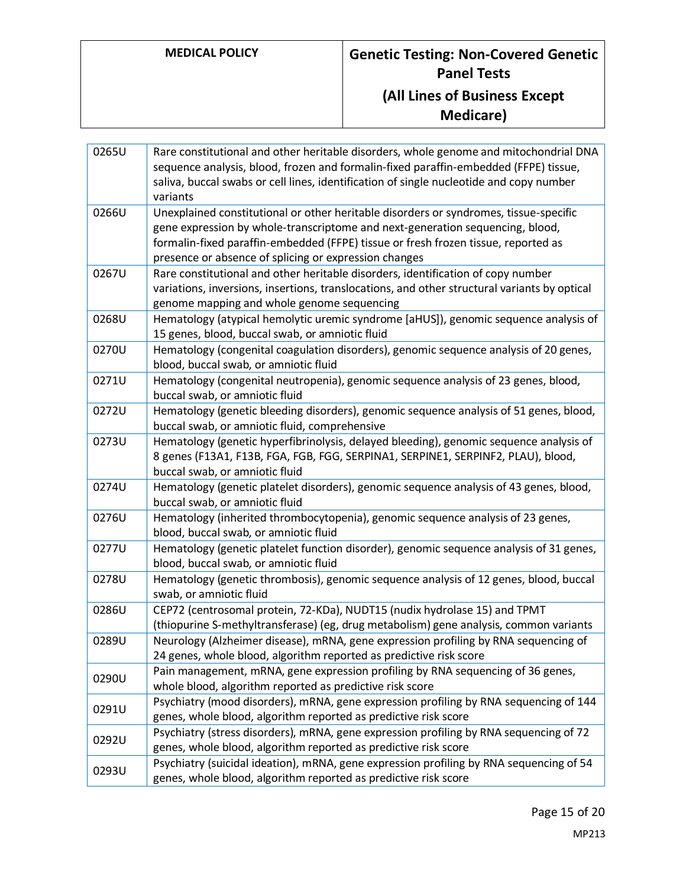| 0265U | Rare constitutional and other heritable disorders, whole genome and mitochondrial DNA<br>sequence analysis, blood, frozen and formalin-fixed paraffin-embedded (FFPE) tissue,<br>saliva, buccal swabs or cell lines, identification of single nucleotide and copy number<br>variants                                  |
|-------|-----------------------------------------------------------------------------------------------------------------------------------------------------------------------------------------------------------------------------------------------------------------------------------------------------------------------|
| 0266U | Unexplained constitutional or other heritable disorders or syndromes, tissue-specific<br>gene expression by whole-transcriptome and next-generation sequencing, blood,<br>formalin-fixed paraffin-embedded (FFPE) tissue or fresh frozen tissue, reported as<br>presence or absence of splicing or expression changes |
| 0267U | Rare constitutional and other heritable disorders, identification of copy number<br>variations, inversions, insertions, translocations, and other structural variants by optical<br>genome mapping and whole genome sequencing                                                                                        |
| 0268U | Hematology (atypical hemolytic uremic syndrome [aHUS]), genomic sequence analysis of<br>15 genes, blood, buccal swab, or amniotic fluid                                                                                                                                                                               |
| 0270U | Hematology (congenital coagulation disorders), genomic sequence analysis of 20 genes,<br>blood, buccal swab, or amniotic fluid                                                                                                                                                                                        |
| 0271U | Hematology (congenital neutropenia), genomic sequence analysis of 23 genes, blood,<br>buccal swab, or amniotic fluid                                                                                                                                                                                                  |
| 0272U | Hematology (genetic bleeding disorders), genomic sequence analysis of 51 genes, blood,<br>buccal swab, or amniotic fluid, comprehensive                                                                                                                                                                               |
| 0273U | Hematology (genetic hyperfibrinolysis, delayed bleeding), genomic sequence analysis of<br>8 genes (F13A1, F13B, FGA, FGB, FGG, SERPINA1, SERPINE1, SERPINF2, PLAU), blood,<br>buccal swab, or amniotic fluid                                                                                                          |
| 0274U | Hematology (genetic platelet disorders), genomic sequence analysis of 43 genes, blood,<br>buccal swab, or amniotic fluid                                                                                                                                                                                              |
| 0276U | Hematology (inherited thrombocytopenia), genomic sequence analysis of 23 genes,<br>blood, buccal swab, or amniotic fluid                                                                                                                                                                                              |
| 0277U | Hematology (genetic platelet function disorder), genomic sequence analysis of 31 genes,<br>blood, buccal swab, or amniotic fluid                                                                                                                                                                                      |
| 0278U | Hematology (genetic thrombosis), genomic sequence analysis of 12 genes, blood, buccal<br>swab, or amniotic fluid                                                                                                                                                                                                      |
| 0286U | CEP72 (centrosomal protein, 72-KDa), NUDT15 (nudix hydrolase 15) and TPMT<br>(thiopurine S-methyltransferase) (eg, drug metabolism) gene analysis, common variants                                                                                                                                                    |
| 0289U | Neurology (Alzheimer disease), mRNA, gene expression profiling by RNA sequencing of<br>24 genes, whole blood, algorithm reported as predictive risk score                                                                                                                                                             |
| 0290U | Pain management, mRNA, gene expression profiling by RNA sequencing of 36 genes,<br>whole blood, algorithm reported as predictive risk score                                                                                                                                                                           |
| 0291U | Psychiatry (mood disorders), mRNA, gene expression profiling by RNA sequencing of 144<br>genes, whole blood, algorithm reported as predictive risk score                                                                                                                                                              |
| 0292U | Psychiatry (stress disorders), mRNA, gene expression profiling by RNA sequencing of 72<br>genes, whole blood, algorithm reported as predictive risk score                                                                                                                                                             |
| 0293U | Psychiatry (suicidal ideation), mRNA, gene expression profiling by RNA sequencing of 54<br>genes, whole blood, algorithm reported as predictive risk score                                                                                                                                                            |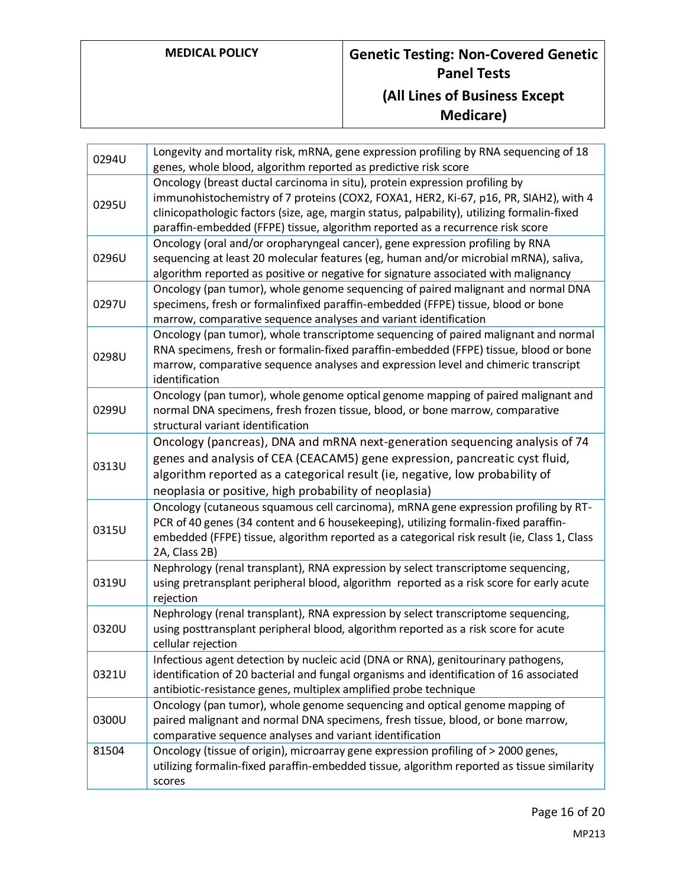| 0294U | Longevity and mortality risk, mRNA, gene expression profiling by RNA sequencing of 18<br>genes, whole blood, algorithm reported as predictive risk score                                                                                                                                                                                              |
|-------|-------------------------------------------------------------------------------------------------------------------------------------------------------------------------------------------------------------------------------------------------------------------------------------------------------------------------------------------------------|
| 0295U | Oncology (breast ductal carcinoma in situ), protein expression profiling by<br>immunohistochemistry of 7 proteins (COX2, FOXA1, HER2, Ki-67, p16, PR, SIAH2), with 4<br>clinicopathologic factors (size, age, margin status, palpability), utilizing formalin-fixed<br>paraffin-embedded (FFPE) tissue, algorithm reported as a recurrence risk score |
| 0296U | Oncology (oral and/or oropharyngeal cancer), gene expression profiling by RNA<br>sequencing at least 20 molecular features (eg, human and/or microbial mRNA), saliva,<br>algorithm reported as positive or negative for signature associated with malignancy                                                                                          |
| 0297U | Oncology (pan tumor), whole genome sequencing of paired malignant and normal DNA<br>specimens, fresh or formalinfixed paraffin-embedded (FFPE) tissue, blood or bone<br>marrow, comparative sequence analyses and variant identification                                                                                                              |
| 0298U | Oncology (pan tumor), whole transcriptome sequencing of paired malignant and normal<br>RNA specimens, fresh or formalin-fixed paraffin-embedded (FFPE) tissue, blood or bone<br>marrow, comparative sequence analyses and expression level and chimeric transcript<br>identification                                                                  |
| 0299U | Oncology (pan tumor), whole genome optical genome mapping of paired malignant and<br>normal DNA specimens, fresh frozen tissue, blood, or bone marrow, comparative<br>structural variant identification                                                                                                                                               |
| 0313U | Oncology (pancreas), DNA and mRNA next-generation sequencing analysis of 74<br>genes and analysis of CEA (CEACAM5) gene expression, pancreatic cyst fluid,<br>algorithm reported as a categorical result (ie, negative, low probability of<br>neoplasia or positive, high probability of neoplasia)                                                   |
| 0315U | Oncology (cutaneous squamous cell carcinoma), mRNA gene expression profiling by RT-<br>PCR of 40 genes (34 content and 6 housekeeping), utilizing formalin-fixed paraffin-<br>embedded (FFPE) tissue, algorithm reported as a categorical risk result (ie, Class 1, Class<br>2A, Class 2B)                                                            |
| 0319U | Nephrology (renal transplant), RNA expression by select transcriptome sequencing,<br>using pretransplant peripheral blood, algorithm reported as a risk score for early acute<br>rejection                                                                                                                                                            |
| 0320U | Nephrology (renal transplant), RNA expression by select transcriptome sequencing,<br>using posttransplant peripheral blood, algorithm reported as a risk score for acute<br>cellular rejection                                                                                                                                                        |
| 0321U | Infectious agent detection by nucleic acid (DNA or RNA), genitourinary pathogens,<br>identification of 20 bacterial and fungal organisms and identification of 16 associated<br>antibiotic-resistance genes, multiplex amplified probe technique                                                                                                      |
| 0300U | Oncology (pan tumor), whole genome sequencing and optical genome mapping of<br>paired malignant and normal DNA specimens, fresh tissue, blood, or bone marrow,<br>comparative sequence analyses and variant identification                                                                                                                            |
| 81504 | Oncology (tissue of origin), microarray gene expression profiling of > 2000 genes,<br>utilizing formalin-fixed paraffin-embedded tissue, algorithm reported as tissue similarity<br>scores                                                                                                                                                            |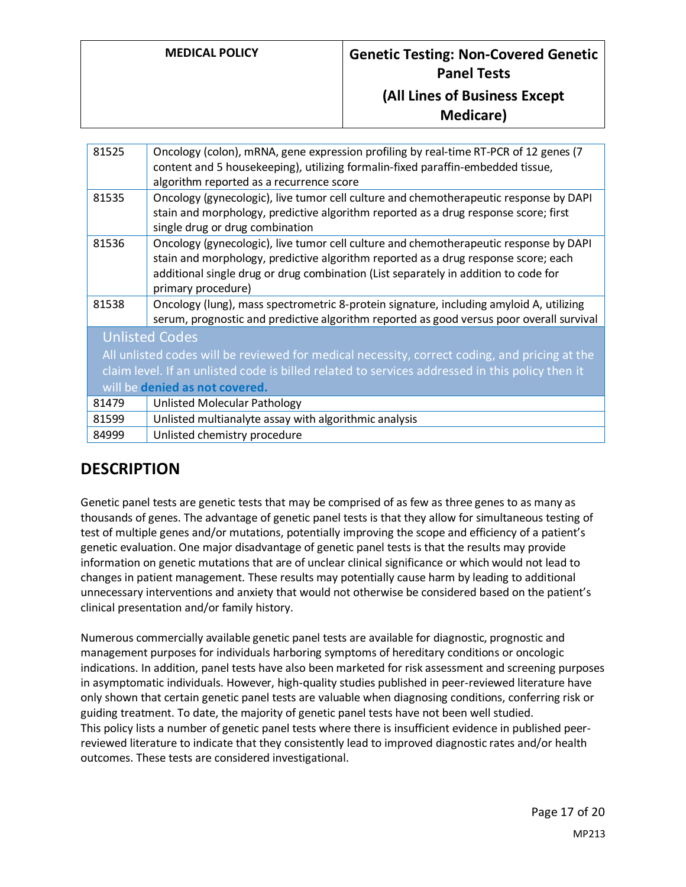| 81525                                                                                           | Oncology (colon), mRNA, gene expression profiling by real-time RT-PCR of 12 genes (7<br>content and 5 housekeeping), utilizing formalin-fixed paraffin-embedded tissue,<br>algorithm reported as a recurrence score                                                                      |  |
|-------------------------------------------------------------------------------------------------|------------------------------------------------------------------------------------------------------------------------------------------------------------------------------------------------------------------------------------------------------------------------------------------|--|
| 81535                                                                                           | Oncology (gynecologic), live tumor cell culture and chemotherapeutic response by DAPI<br>stain and morphology, predictive algorithm reported as a drug response score; first<br>single drug or drug combination                                                                          |  |
| 81536                                                                                           | Oncology (gynecologic), live tumor cell culture and chemotherapeutic response by DAPI<br>stain and morphology, predictive algorithm reported as a drug response score; each<br>additional single drug or drug combination (List separately in addition to code for<br>primary procedure) |  |
| 81538                                                                                           | Oncology (lung), mass spectrometric 8-protein signature, including amyloid A, utilizing<br>serum, prognostic and predictive algorithm reported as good versus poor overall survival                                                                                                      |  |
| <b>Unlisted Codes</b>                                                                           |                                                                                                                                                                                                                                                                                          |  |
| All unlisted codes will be reviewed for medical necessity, correct coding, and pricing at the   |                                                                                                                                                                                                                                                                                          |  |
| claim level. If an unlisted code is billed related to services addressed in this policy then it |                                                                                                                                                                                                                                                                                          |  |
| will be denied as not covered.                                                                  |                                                                                                                                                                                                                                                                                          |  |
| 81479                                                                                           | <b>Unlisted Molecular Pathology</b>                                                                                                                                                                                                                                                      |  |
| 81599                                                                                           | Unlisted multianalyte assay with algorithmic analysis                                                                                                                                                                                                                                    |  |
| 84999                                                                                           | Unlisted chemistry procedure                                                                                                                                                                                                                                                             |  |

# **DESCRIPTION**

Genetic panel tests are genetic tests that may be comprised of as few as three genes to as many as thousands of genes. The advantage of genetic panel tests is that they allow for simultaneous testing of test of multiple genes and/or mutations, potentially improving the scope and efficiency of a patient's genetic evaluation. One major disadvantage of genetic panel tests is that the results may provide information on genetic mutations that are of unclear clinical significance or which would not lead to changes in patient management. These results may potentially cause harm by leading to additional unnecessary interventions and anxiety that would not otherwise be considered based on the patient's clinical presentation and/or family history.

Numerous commercially available genetic panel tests are available for diagnostic, prognostic and management purposes for individuals harboring symptoms of hereditary conditions or oncologic indications. In addition, panel tests have also been marketed for risk assessment and screening purposes in asymptomatic individuals. However, high-quality studies published in peer-reviewed literature have only shown that certain genetic panel tests are valuable when diagnosing conditions, conferring risk or guiding treatment. To date, the majority of genetic panel tests have not been well studied. This policy lists a number of genetic panel tests where there is insufficient evidence in published peerreviewed literature to indicate that they consistently lead to improved diagnostic rates and/or health outcomes. These tests are considered investigational.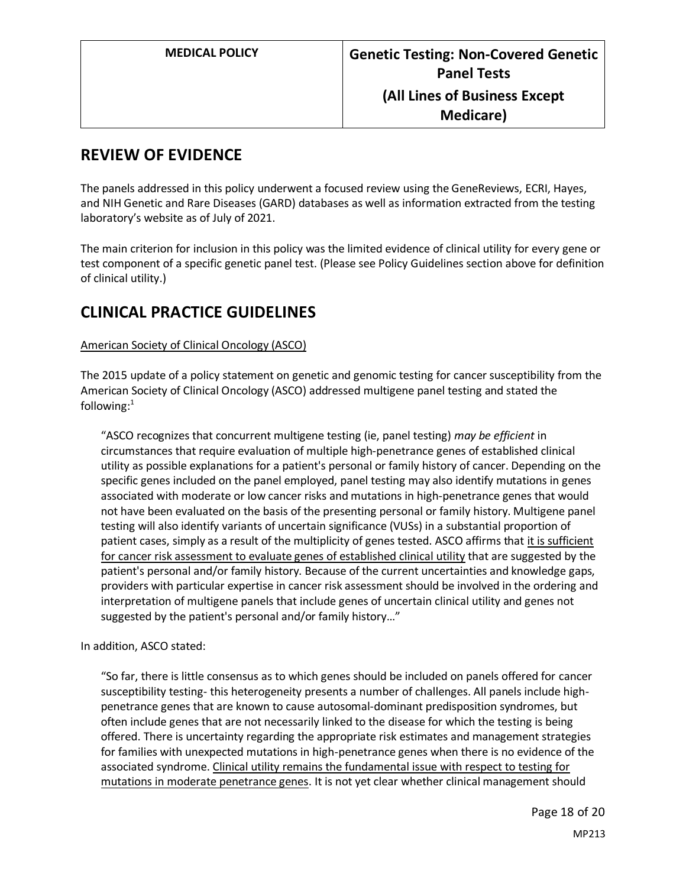## **REVIEW OF EVIDENCE**

The panels addressed in this policy underwent a focused review using the GeneReviews, ECRI, Hayes, and NIH Genetic and Rare Diseases (GARD) databases as well as information extracted from the testing laboratory's website as of July of 2021.

The main criterion for inclusion in this policy was the limited evidence of clinical utility for every gene or test component of a specific genetic panel test. (Please see Policy Guidelines section above for definition of clinical utility.)

# **CLINICAL PRACTICE GUIDELINES**

#### American Society of Clinical Oncology (ASCO)

The 2015 update of a policy statement on genetic and genomic testing for cancer susceptibility from the American Society of Clinical Oncology (ASCO) addressed multigene panel testing and stated the following: $1$ 

"ASCO recognizes that concurrent multigene testing (ie, panel testing) *may be efficient* in circumstances that require evaluation of multiple high-penetrance genes of established clinical utility as possible explanations for a patient's personal or family history of cancer. Depending on the specific genes included on the panel employed, panel testing may also identify mutations in genes associated with moderate or low cancer risks and mutations in high-penetrance genes that would not have been evaluated on the basis of the presenting personal or family history. Multigene panel testing will also identify variants of uncertain significance (VUSs) in a substantial proportion of patient cases, simply as a result of the multiplicity of genes tested. ASCO affirms that it is sufficient for cancer risk assessment to evaluate genes of established clinical utility that are suggested by the patient's personal and/or family history. Because of the current uncertainties and knowledge gaps, providers with particular expertise in cancer risk assessment should be involved in the ordering and interpretation of multigene panels that include genes of uncertain clinical utility and genes not suggested by the patient's personal and/or family history…"

In addition, ASCO stated:

"So far, there is little consensus as to which genes should be included on panels offered for cancer susceptibility testing- this heterogeneity presents a number of challenges. All panels include highpenetrance genes that are known to cause autosomal-dominant predisposition syndromes, but often include genes that are not necessarily linked to the disease for which the testing is being offered. There is uncertainty regarding the appropriate risk estimates and management strategies for families with unexpected mutations in high-penetrance genes when there is no evidence of the associated syndrome. Clinical utility remains the fundamental issue with respect to testing for mutations in moderate penetrance genes. It is not yet clear whether clinical management should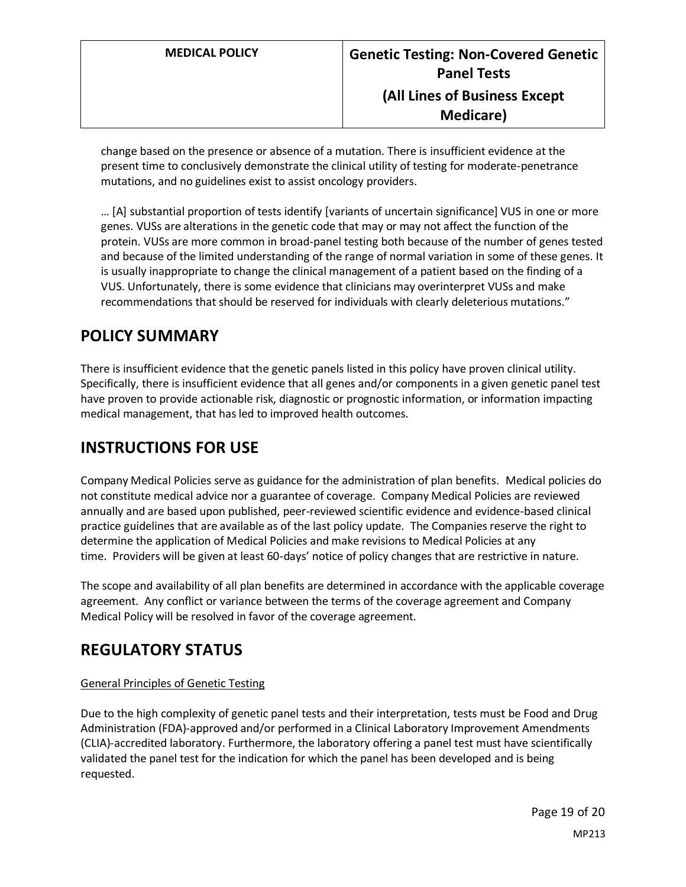change based on the presence or absence of a mutation. There is insufficient evidence at the present time to conclusively demonstrate the clinical utility of testing for moderate-penetrance mutations, and no guidelines exist to assist oncology providers.

… [A] substantial proportion of tests identify [variants of uncertain significance] VUS in one or more genes. VUSs are alterations in the genetic code that may or may not affect the function of the protein. VUSs are more common in broad-panel testing both because of the number of genes tested and because of the limited understanding of the range of normal variation in some of these genes. It is usually inappropriate to change the clinical management of a patient based on the finding of a VUS. Unfortunately, there is some evidence that clinicians may overinterpret VUSs and make recommendations that should be reserved for individuals with clearly deleterious mutations."

## <span id="page-18-0"></span>**POLICY SUMMARY**

There is insufficient evidence that the genetic panels listed in this policy have proven clinical utility. Specifically, there is insufficient evidence that all genes and/or components in a given genetic panel test have proven to provide actionable risk, diagnostic or prognostic information, or information impacting medical management, that has led to improved health outcomes.

# **INSTRUCTIONS FOR USE**

Company Medical Policies serve as guidance for the administration of plan benefits. Medical policies do not constitute medical advice nor a guarantee of coverage. Company Medical Policies are reviewed annually and are based upon published, peer-reviewed scientific evidence and evidence-based clinical practice guidelines that are available as of the last policy update. The Companies reserve the right to determine the application of Medical Policies and make revisions to Medical Policies at any time. Providers will be given at least 60-days' notice of policy changes that are restrictive in nature.

The scope and availability of all plan benefits are determined in accordance with the applicable coverage agreement. Any conflict or variance between the terms of the coverage agreement and Company Medical Policy will be resolved in favor of the coverage agreement.

### **REGULATORY STATUS**

#### General Principles of Genetic Testing

Due to the high complexity of genetic panel tests and their interpretation, tests must be Food and Drug Administration (FDA)-approved and/or performed in a Clinical Laboratory Improvement Amendments (CLIA)-accredited laboratory. Furthermore, the laboratory offering a panel test must have scientifically validated the panel test for the indication for which the panel has been developed and is being requested.